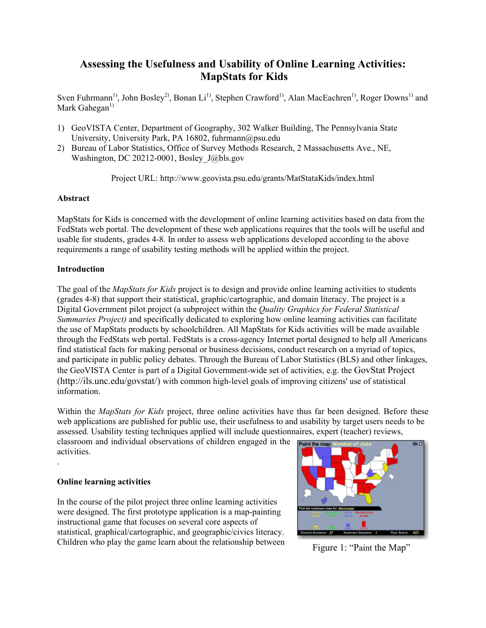# **Assessing the Usefulness and Usability of Online Learning Activities: MapStats for Kids**

Sven Fuhrmann<sup>1)</sup>, John Bosley<sup>2)</sup>, Bonan Li<sup>1)</sup>, Stephen Crawford<sup>1)</sup>, Alan MacEachren<sup>1)</sup>, Roger Downs<sup>1)</sup> and Mark Gahegan<sup>1)</sup>

- 1) GeoVISTA Center, Department of Geography, 302 Walker Building, The Pennsylvania State University, University Park, PA 16802, fuhrmann@psu.edu
- 2) Bureau of Labor Statistics, Office of Survey Methods Research, 2 Massachusetts Ave., NE, Washington, DC 20212-0001, Bosley J@bls.gov

Project URL: http://www.geovista.psu.edu/grants/MatStataKids/index.html

## **Abstract**

MapStats for Kids is concerned with the development of online learning activities based on data from the FedStats web portal. The development of these web applications requires that the tools will be useful and usable for students, grades 4-8. In order to assess web applications developed according to the above requirements a range of usability testing methods will be applied within the project.

### **Introduction**

The goal of the *MapStats for Kids* project is to design and provide online learning activities to students (grades 4-8) that support their statistical, graphic/cartographic, and domain literacy. The project is a Digital Government pilot project (a subproject within the *Quality Graphics for Federal Statistical Summaries Project)* and specifically dedicated to exploring how online learning activities can facilitate the use of MapStats products by schoolchildren. All MapStats for Kids activities will be made available through the FedStats web portal. FedStats is a cross-agency Internet portal designed to help all Americans find statistical facts for making personal or business decisions, conduct research on a myriad of topics, and participate in public policy debates. Through the Bureau of Labor Statistics (BLS) and other linkages, the GeoVISTA Center is part of a Digital Government-wide set of activities, e.g. the GovStat Project (http://ils.unc.edu/govstat/) with common high-level goals of improving citizens' use of statistical information.

Within the *MapStats for Kids* project, three online activities have thus far been designed. Before these web applications are published for public use, their usefulness to and usability by target users needs to be assessed. Usability testing techniques applied will include questionnaires, expert (teacher) reviews,

classroom and individual observations of children engaged in the activities.

## **Online learning activities**

.

In the course of the pilot project three online learning activities were designed. The first prototype application is a map-painting instructional game that focuses on several core aspects of statistical, graphical/cartographic, and geographic/civics literacy. Children who play the game learn about the relationship between Figure 1: "Paint the Map"

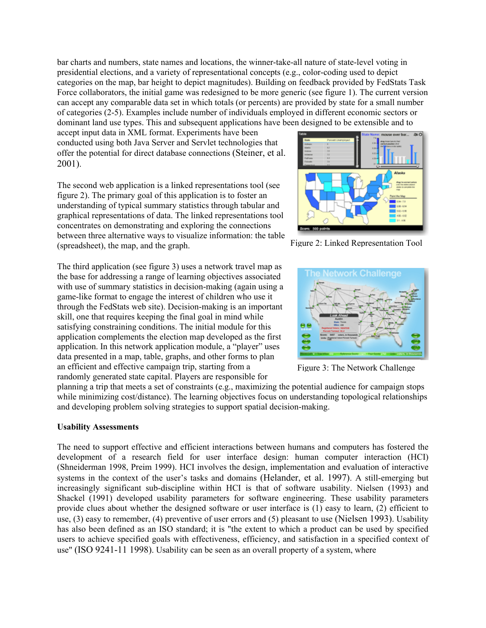bar charts and numbers, state names and locations, the winner-take-all nature of state-level voting in presidential elections, and a variety of representational concepts (e.g., color-coding used to depict categories on the map, bar height to depict magnitudes). Building on feedback provided by FedStats Task Force collaborators, the initial game was redesigned to be more generic (see figure 1). The current version can accept any comparable data set in which totals (or percents) are provided by state for a small number of categories (2-5). Examples include number of individuals employed in different economic sectors or dominant land use types. This and subsequent applications have been designed to be extensible and to

accept input data in XML format. Experiments have been conducted using both Java Server and Servlet technologies that offer the potential for direct database connections (Steiner, et al. 2001).

The second web application is a linked representations tool (see figure 2). The primary goal of this application is to foster an understanding of typical summary statistics through tabular and graphical representations of data. The linked representations tool concentrates on demonstrating and exploring the connections between three alternative ways to visualize information: the table (spreadsheet), the map, and the graph.

The third application (see figure 3) uses a network travel map as the base for addressing a range of learning objectives associated with use of summary statistics in decision-making (again using a game-like format to engage the interest of children who use it through the FedStats web site). Decision-making is an important skill, one that requires keeping the final goal in mind while satisfying constraining conditions. The initial module for this application complements the election map developed as the first application. In this network application module, a "player" uses data presented in a map, table, graphs, and other forms to plan an efficient and effective campaign trip, starting from a randomly generated state capital. Players are responsible for



Figure 2: Linked Representation Tool



Figure 3: The Network Challenge

planning a trip that meets a set of constraints (e.g., maximizing the potential audience for campaign stops while minimizing cost/distance). The learning objectives focus on understanding topological relationships and developing problem solving strategies to support spatial decision-making.

## **Usability Assessments**

The need to support effective and efficient interactions between humans and computers has fostered the development of a research field for user interface design: human computer interaction (HCI) (Shneiderman 1998, Preim 1999). HCI involves the design, implementation and evaluation of interactive systems in the context of the user's tasks and domains (Helander, et al. 1997). A still-emerging but increasingly significant sub-discipline within HCI is that of software usability. Nielsen (1993) and Shackel (1991) developed usability parameters for software engineering. These usability parameters provide clues about whether the designed software or user interface is (1) easy to learn, (2) efficient to use, (3) easy to remember, (4) preventive of user errors and (5) pleasant to use (Nielsen 1993). Usability has also been defined as an ISO standard; it is "the extent to which a product can be used by specified users to achieve specified goals with effectiveness, efficiency, and satisfaction in a specified context of use" (ISO 9241-11 1998). Usability can be seen as an overall property of a system, where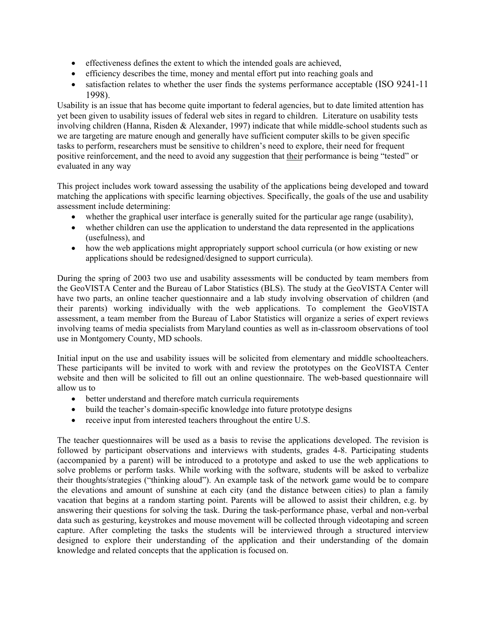- effectiveness defines the extent to which the intended goals are achieved,
- efficiency describes the time, money and mental effort put into reaching goals and
- satisfaction relates to whether the user finds the systems performance acceptable (ISO 9241-11) 1998).

Usability is an issue that has become quite important to federal agencies, but to date limited attention has yet been given to usability issues of federal web sites in regard to children. Literature on usability tests involving children (Hanna, Risden & Alexander, 1997) indicate that while middle-school students such as we are targeting are mature enough and generally have sufficient computer skills to be given specific tasks to perform, researchers must be sensitive to children's need to explore, their need for frequent positive reinforcement, and the need to avoid any suggestion that their performance is being "tested" or evaluated in any way

This project includes work toward assessing the usability of the applications being developed and toward matching the applications with specific learning objectives. Specifically, the goals of the use and usability assessment include determining:

- whether the graphical user interface is generally suited for the particular age range (usability),
- whether children can use the application to understand the data represented in the applications (usefulness), and
- how the web applications might appropriately support school curricula (or how existing or new applications should be redesigned/designed to support curricula).

During the spring of 2003 two use and usability assessments will be conducted by team members from the GeoVISTA Center and the Bureau of Labor Statistics (BLS). The study at the GeoVISTA Center will have two parts, an online teacher questionnaire and a lab study involving observation of children (and their parents) working individually with the web applications. To complement the GeoVISTA assessment, a team member from the Bureau of Labor Statistics will organize a series of expert reviews involving teams of media specialists from Maryland counties as well as in-classroom observations of tool use in Montgomery County, MD schools.

Initial input on the use and usability issues will be solicited from elementary and middle schoolteachers. These participants will be invited to work with and review the prototypes on the GeoVISTA Center website and then will be solicited to fill out an online questionnaire. The web-based questionnaire will allow us to

- better understand and therefore match curricula requirements
- build the teacher's domain-specific knowledge into future prototype designs
- receive input from interested teachers throughout the entire U.S.

The teacher questionnaires will be used as a basis to revise the applications developed. The revision is followed by participant observations and interviews with students, grades 4-8. Participating students (accompanied by a parent) will be introduced to a prototype and asked to use the web applications to solve problems or perform tasks. While working with the software, students will be asked to verbalize their thoughts/strategies ("thinking aloud"). An example task of the network game would be to compare the elevations and amount of sunshine at each city (and the distance between cities) to plan a family vacation that begins at a random starting point. Parents will be allowed to assist their children, e.g. by answering their questions for solving the task. During the task-performance phase, verbal and non-verbal data such as gesturing, keystrokes and mouse movement will be collected through videotaping and screen capture. After completing the tasks the students will be interviewed through a structured interview designed to explore their understanding of the application and their understanding of the domain knowledge and related concepts that the application is focused on.